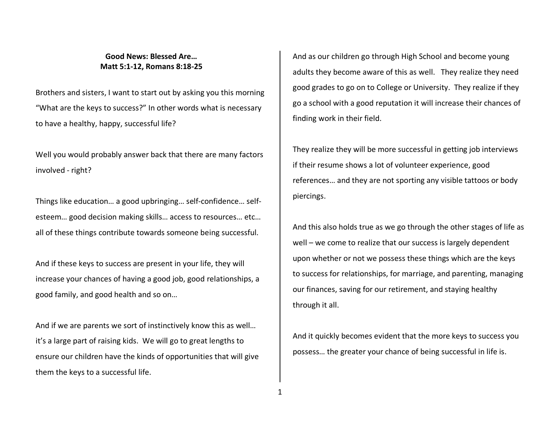## **Good News: Blessed Are… Matt 5:1-12, Romans 8:18-25**

Brothers and sisters, I want to start out by asking you this morning "What are the keys to success?" In other words what is necessary to have a healthy, happy, successful life?

Well you would probably answer back that there are many factors involved - right?

Things like education… a good upbringing… self-confidence… selfesteem… good decision making skills… access to resources… etc… all of these things contribute towards someone being successful.

And if these keys to success are present in your life, they will increase your chances of having a good job, good relationships, a good family, and good health and so on…

And if we are parents we sort of instinctively know this as well… it's a large part of raising kids. We will go to great lengths to ensure our children have the kinds of opportunities that will give them the keys to a successful life.

And as our children go through High School and become young adults they become aware of this as well. They realize they need good grades to go on to College or University. They realize if they go a school with a good reputation it will increase their chances of finding work in their field.

They realize they will be more successful in getting job interviews if their resume shows a lot of volunteer experience, good references… and they are not sporting any visible tattoos or body piercings.

And this also holds true as we go through the other stages of life as well – we come to realize that our success is largely dependent upon whether or not we possess these things which are the keys to success for relationships, for marriage, and parenting, managing our finances, saving for our retirement, and staying healthy through it all.

And it quickly becomes evident that the more keys to success you possess… the greater your chance of being successful in life is.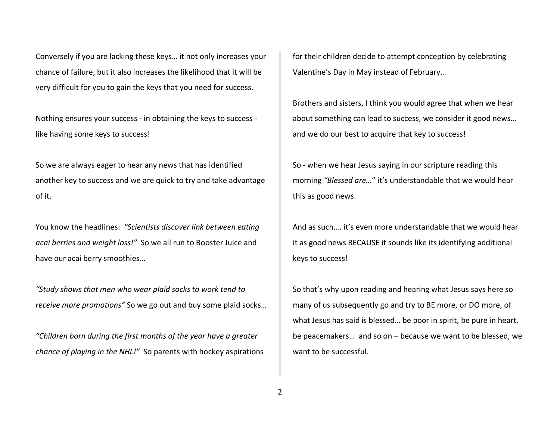Conversely if you are lacking these keys… it not only increases your chance of failure, but it also increases the likelihood that it will be very difficult for you to gain the keys that you need for success.

Nothing ensures your success - in obtaining the keys to success like having some keys to success!

So we are always eager to hear any news that has identified another key to success and we are quick to try and take advantage of it.

You know the headlines: *"Scientists discover link between eating acai berries and weight loss!"* So we all run to Booster Juice and have our acai berry smoothies…

*"Study shows that men who wear plaid socks to work tend to receive more promotions"* So we go out and buy some plaid socks…

*"Children born during the first months of the year have a greater chance of playing in the NHL!"* So parents with hockey aspirations for their children decide to attempt conception by celebrating Valentine's Day in May instead of February…

Brothers and sisters, I think you would agree that when we hear about something can lead to success, we consider it good news… and we do our best to acquire that key to success!

So - when we hear Jesus saying in our scripture reading this morning *"Blessed are…*" it's understandable that we would hear this as good news.

And as such…. it's even more understandable that we would hear it as good news BECAUSE it sounds like its identifying additional keys to success!

So that's why upon reading and hearing what Jesus says here so many of us subsequently go and try to BE more, or DO more, of what Jesus has said is blessed… be poor in spirit, be pure in heart, be peacemakers… and so on – because we want to be blessed, we want to be successful.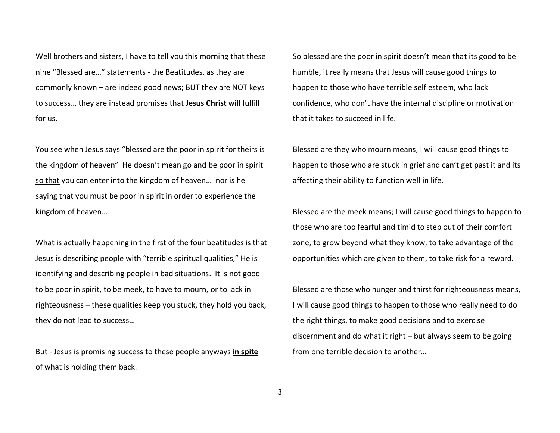Well brothers and sisters, I have to tell you this morning that these nine "Blessed are…" statements - the Beatitudes, as they are commonly known – are indeed good news; BUT they are NOT keys to success… they are instead promises that **Jesus Christ** will fulfill for us.

You see when Jesus says "blessed are the poor in spirit for theirs is the kingdom of heaven" He doesn't mean go and be poor in spirit so that you can enter into the kingdom of heaven… nor is he saying that you must be poor in spirit in order to experience the kingdom of heaven…

What is actually happening in the first of the four beatitudes is that Jesus is describing people with "terrible spiritual qualities," He is identifying and describing people in bad situations. It is not good to be poor in spirit, to be meek, to have to mourn, or to lack in righteousness – these qualities keep you stuck, they hold you back, they do not lead to success…

But - Jesus is promising success to these people anyways **in spite**of what is holding them back.

So blessed are the poor in spirit doesn't mean that its good to be humble, it really means that Jesus will cause good things to happen to those who have terrible self esteem, who lack confidence, who don't have the internal discipline or motivation that it takes to succeed in life.

Blessed are they who mourn means, I will cause good things to happen to those who are stuck in grief and can't get past it and its affecting their ability to function well in life.

Blessed are the meek means; I will cause good things to happen to those who are too fearful and timid to step out of their comfort zone, to grow beyond what they know, to take advantage of the opportunities which are given to them, to take risk for a reward.

Blessed are those who hunger and thirst for righteousness means, I will cause good things to happen to those who really need to do the right things, to make good decisions and to exercise discernment and do what it right – but always seem to be going from one terrible decision to another…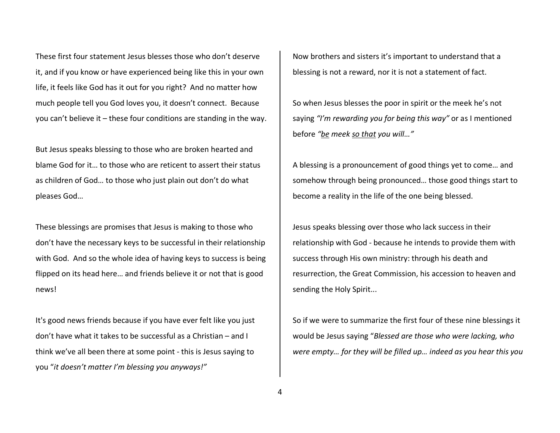These first four statement Jesus blesses those who don't deserve it, and if you know or have experienced being like this in your own life, it feels like God has it out for you right? And no matter how much people tell you God loves you, it doesn't connect. Because you can't believe it – these four conditions are standing in the way.

But Jesus speaks blessing to those who are broken hearted and blame God for it… to those who are reticent to assert their status as children of God… to those who just plain out don't do what pleases God…

These blessings are promises that Jesus is making to those who don't have the necessary keys to be successful in their relationship with God. And so the whole idea of having keys to success is being flipped on its head here… and friends believe it or not that is good news!

It's good news friends because if you have ever felt like you just don't have what it takes to be successful as a Christian – and I think we've all been there at some point - this is Jesus saying to you "*it doesn't matter I'm blessing you anyways!"*

Now brothers and sisters it's important to understand that a blessing is not a reward, nor it is not a statement of fact.

So when Jesus blesses the poor in spirit or the meek he's not saying *"I'm rewarding you for being this way"* or as I mentioned before *"be meek so that you will…"*

A blessing is a pronouncement of good things yet to come… and somehow through being pronounced… those good things start to become a reality in the life of the one being blessed.

Jesus speaks blessing over those who lack success in their relationship with God - because he intends to provide them with success through His own ministry: through his death and resurrection, the Great Commission, his accession to heaven and sending the Holy Spirit...

So if we were to summarize the first four of these nine blessings it would be Jesus saying "*Blessed are those who were lacking, who were empty… for they will be filled up… indeed as you hear this you*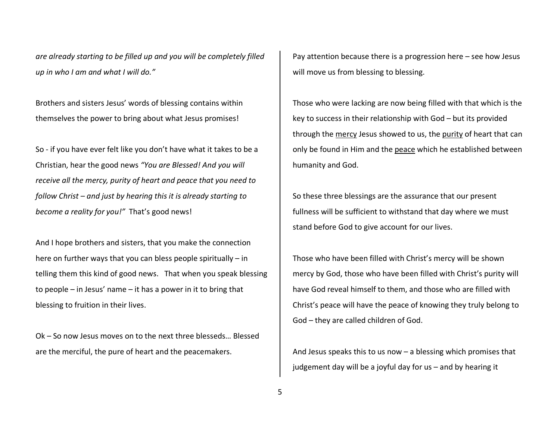*are already starting to be filled up and you will be completely filled up in who I am and what I will do."* 

Brothers and sisters Jesus' words of blessing contains within themselves the power to bring about what Jesus promises!

So - if you have ever felt like you don't have what it takes to be a Christian, hear the good news *"You are Blessed! And you will receive all the mercy, purity of heart and peace that you need to follow Christ – and just by hearing this it is already starting to become a reality for you!"* That's good news!

And I hope brothers and sisters, that you make the connection here on further ways that you can bless people spiritually – in telling them this kind of good news. That when you speak blessing to people – in Jesus' name – it has a power in it to bring that blessing to fruition in their lives.

Ok – So now Jesus moves on to the next three blesseds… Blessed are the merciful, the pure of heart and the peacemakers.

Pay attention because there is a progression here – see how Jesus will move us from blessing to blessing.

Those who were lacking are now being filled with that which is the key to success in their relationship with God – but its provided through the mercy Jesus showed to us, the purity of heart that can only be found in Him and the peace which he established between humanity and God.

So these three blessings are the assurance that our present fullness will be sufficient to withstand that day where we must stand before God to give account for our lives.

Those who have been filled with Christ's mercy will be shown mercy by God, those who have been filled with Christ's purity will have God reveal himself to them, and those who are filled with Christ's peace will have the peace of knowing they truly belong to God – they are called children of God.

And Jesus speaks this to us now – a blessing which promises that judgement day will be a joyful day for us – and by hearing it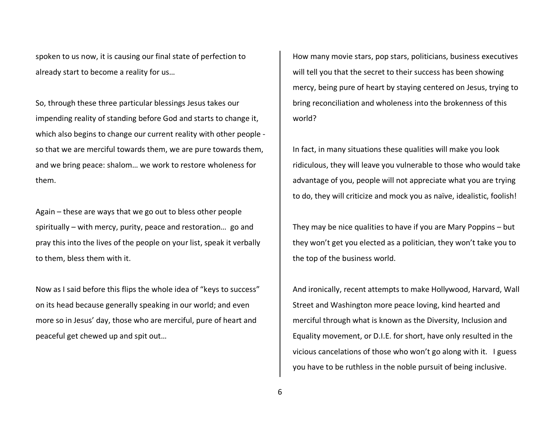spoken to us now, it is causing our final state of perfection to already start to become a reality for us…

So, through these three particular blessings Jesus takes our impending reality of standing before God and starts to change it, which also begins to change our current reality with other people so that we are merciful towards them, we are pure towards them, and we bring peace: shalom… we work to restore wholeness for them.

Again – these are ways that we go out to bless other people spiritually – with mercy, purity, peace and restoration… go and pray this into the lives of the people on your list, speak it verbally to them, bless them with it.

Now as I said before this flips the whole idea of "keys to success" on its head because generally speaking in our world; and even more so in Jesus' day, those who are merciful, pure of heart and peaceful get chewed up and spit out…

How many movie stars, pop stars, politicians, business executives will tell you that the secret to their success has been showing mercy, being pure of heart by staying centered on Jesus, trying to bring reconciliation and wholeness into the brokenness of this world?

In fact, in many situations these qualities will make you look ridiculous, they will leave you vulnerable to those who would take advantage of you, people will not appreciate what you are trying to do, they will criticize and mock you as naïve, idealistic, foolish!

They may be nice qualities to have if you are Mary Poppins – but they won't get you elected as a politician, they won't take you to the top of the business world.

And ironically, recent attempts to make Hollywood, Harvard, Wall Street and Washington more peace loving, kind hearted and merciful through what is known as the Diversity, Inclusion and Equality movement, or D.I.E. for short, have only resulted in the vicious cancelations of those who won't go along with it. I guess you have to be ruthless in the noble pursuit of being inclusive.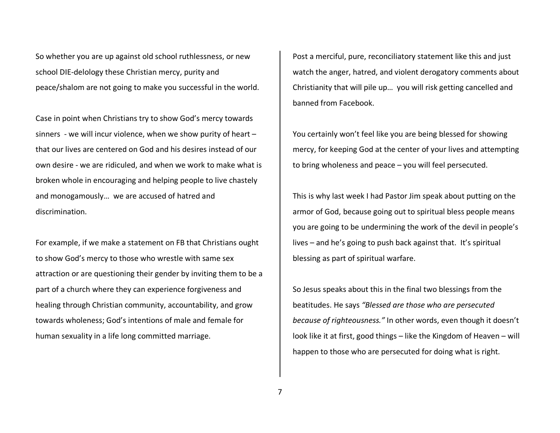So whether you are up against old school ruthlessness, or new school DIE-delology these Christian mercy, purity and peace/shalom are not going to make you successful in the world.

Case in point when Christians try to show God's mercy towards sinners - we will incur violence, when we show purity of heart – that our lives are centered on God and his desires instead of our own desire - we are ridiculed, and when we work to make what is broken whole in encouraging and helping people to live chastely and monogamously… we are accused of hatred and discrimination.

For example, if we make a statement on FB that Christians ought to show God's mercy to those who wrestle with same sex attraction or are questioning their gender by inviting them to be a part of a church where they can experience forgiveness and healing through Christian community, accountability, and grow towards wholeness; God's intentions of male and female for human sexuality in a life long committed marriage.

Post a merciful, pure, reconciliatory statement like this and just watch the anger, hatred, and violent derogatory comments about Christianity that will pile up… you will risk getting cancelled and banned from Facebook.

You certainly won't feel like you are being blessed for showing mercy, for keeping God at the center of your lives and attempting to bring wholeness and peace – you will feel persecuted.

This is why last week I had Pastor Jim speak about putting on the armor of God, because going out to spiritual bless people means you are going to be undermining the work of the devil in people's lives – and he's going to push back against that. It's spiritual blessing as part of spiritual warfare.

So Jesus speaks about this in the final two blessings from the beatitudes. He says *"Blessed are those who are persecuted because of righteousness."* In other words, even though it doesn't look like it at first, good things – like the Kingdom of Heaven – will happen to those who are persecuted for doing what is right.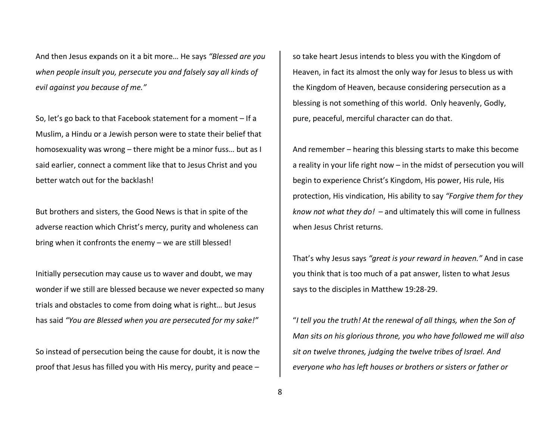And then Jesus expands on it a bit more… He says *"Blessed are you when people insult you, persecute you and falsely say all kinds of evil against you because of me."* 

So, let's go back to that Facebook statement for a moment – If a Muslim, a Hindu or a Jewish person were to state their belief that homosexuality was wrong – there might be a minor fuss… but as I said earlier, connect a comment like that to Jesus Christ and you better watch out for the backlash!

But brothers and sisters, the Good News is that in spite of the adverse reaction which Christ's mercy, purity and wholeness can bring when it confronts the enemy – we are still blessed!

Initially persecution may cause us to waver and doubt, we may wonder if we still are blessed because we never expected so many trials and obstacles to come from doing what is right… but Jesus has said *"You are Blessed when you are persecuted for my sake!"* 

So instead of persecution being the cause for doubt, it is now the proof that Jesus has filled you with His mercy, purity and peace –

so take heart Jesus intends to bless you with the Kingdom of Heaven, in fact its almost the only way for Jesus to bless us with the Kingdom of Heaven, because considering persecution as a blessing is not something of this world. Only heavenly, Godly, pure, peaceful, merciful character can do that.

And remember – hearing this blessing starts to make this become a reality in your life right now – in the midst of persecution you will begin to experience Christ's Kingdom, His power, His rule, His protection, His vindication, His ability to say *"Forgive them for they know not what they do!* – and ultimately this will come in fullness when Jesus Christ returns.

That's why Jesus says *"great is your reward in heaven."* And in case you think that is too much of a pat answer, listen to what Jesus says to the disciples in Matthew 19:28-29.

"*I tell you the truth! At the renewal of all things, when the Son of Man sits on his glorious throne, you who have followed me will also sit on twelve thrones, judging the twelve tribes of Israel. And everyone who has left houses or brothers or sisters or father or*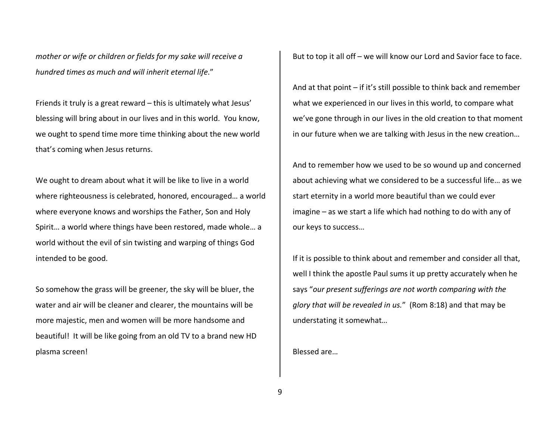*mother or wife or children or fields for my sake will receive a hundred times as much and will inherit eternal life*."

Friends it truly is a great reward – this is ultimately what Jesus' blessing will bring about in our lives and in this world. You know, we ought to spend time more time thinking about the new world that's coming when Jesus returns.

We ought to dream about what it will be like to live in a world where righteousness is celebrated, honored, encouraged… a world where everyone knows and worships the Father, Son and Holy Spirit… a world where things have been restored, made whole… a world without the evil of sin twisting and warping of things God intended to be good.

So somehow the grass will be greener, the sky will be bluer, the water and air will be cleaner and clearer, the mountains will be more majestic, men and women will be more handsome and beautiful! It will be like going from an old TV to a brand new HD plasma screen!

But to top it all off – we will know our Lord and Savior face to face.

And at that point – if it's still possible to think back and remember what we experienced in our lives in this world, to compare what we've gone through in our lives in the old creation to that moment in our future when we are talking with Jesus in the new creation…

And to remember how we used to be so wound up and concerned about achieving what we considered to be a successful life… as we start eternity in a world more beautiful than we could ever imagine – as we start a life which had nothing to do with any of our keys to success…

If it is possible to think about and remember and consider all that, well I think the apostle Paul sums it up pretty accurately when he says "*our present sufferings are not worth comparing with the glory that will be revealed in us.*" (Rom 8:18) and that may be understating it somewhat…

Blessed are…